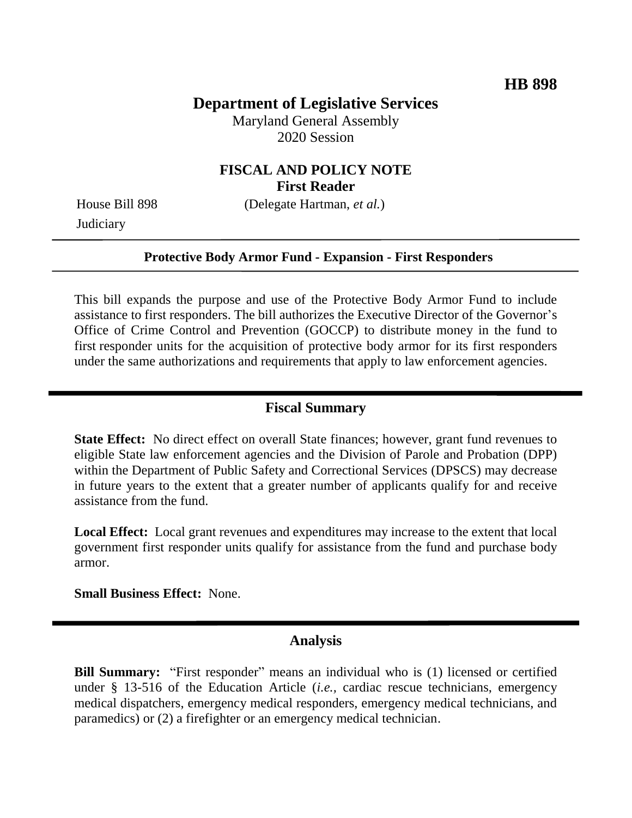## **Department of Legislative Services**

Maryland General Assembly 2020 Session

## **FISCAL AND POLICY NOTE First Reader**

**Judiciary** 

House Bill 898 (Delegate Hartman, *et al.*)

#### **Protective Body Armor Fund - Expansion - First Responders**

This bill expands the purpose and use of the Protective Body Armor Fund to include assistance to first responders. The bill authorizes the Executive Director of the Governor's Office of Crime Control and Prevention (GOCCP) to distribute money in the fund to first responder units for the acquisition of protective body armor for its first responders under the same authorizations and requirements that apply to law enforcement agencies.

### **Fiscal Summary**

**State Effect:** No direct effect on overall State finances; however, grant fund revenues to eligible State law enforcement agencies and the Division of Parole and Probation (DPP) within the Department of Public Safety and Correctional Services (DPSCS) may decrease in future years to the extent that a greater number of applicants qualify for and receive assistance from the fund.

**Local Effect:** Local grant revenues and expenditures may increase to the extent that local government first responder units qualify for assistance from the fund and purchase body armor.

**Small Business Effect:** None.

### **Analysis**

**Bill Summary:** "First responder" means an individual who is (1) licensed or certified under § 13-516 of the Education Article (*i.e.,* cardiac rescue technicians, emergency medical dispatchers, emergency medical responders, emergency medical technicians, and paramedics) or (2) a firefighter or an emergency medical technician.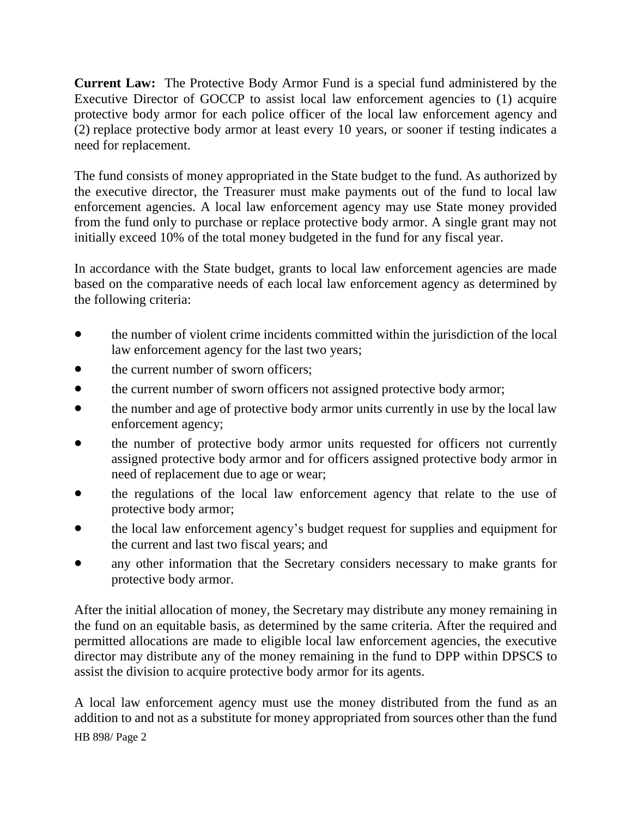**Current Law:** The Protective Body Armor Fund is a special fund administered by the Executive Director of GOCCP to assist local law enforcement agencies to (1) acquire protective body armor for each police officer of the local law enforcement agency and (2) replace protective body armor at least every 10 years, or sooner if testing indicates a need for replacement.

The fund consists of money appropriated in the State budget to the fund. As authorized by the executive director, the Treasurer must make payments out of the fund to local law enforcement agencies. A local law enforcement agency may use State money provided from the fund only to purchase or replace protective body armor. A single grant may not initially exceed 10% of the total money budgeted in the fund for any fiscal year.

In accordance with the State budget, grants to local law enforcement agencies are made based on the comparative needs of each local law enforcement agency as determined by the following criteria:

- the number of violent crime incidents committed within the jurisdiction of the local law enforcement agency for the last two years;
- the current number of sworn officers;
- the current number of sworn officers not assigned protective body armor;
- the number and age of protective body armor units currently in use by the local law enforcement agency;
- the number of protective body armor units requested for officers not currently assigned protective body armor and for officers assigned protective body armor in need of replacement due to age or wear;
- the regulations of the local law enforcement agency that relate to the use of protective body armor;
- the local law enforcement agency's budget request for supplies and equipment for the current and last two fiscal years; and
- any other information that the Secretary considers necessary to make grants for protective body armor.

After the initial allocation of money, the Secretary may distribute any money remaining in the fund on an equitable basis, as determined by the same criteria. After the required and permitted allocations are made to eligible local law enforcement agencies, the executive director may distribute any of the money remaining in the fund to DPP within DPSCS to assist the division to acquire protective body armor for its agents.

HB 898/ Page 2 A local law enforcement agency must use the money distributed from the fund as an addition to and not as a substitute for money appropriated from sources other than the fund